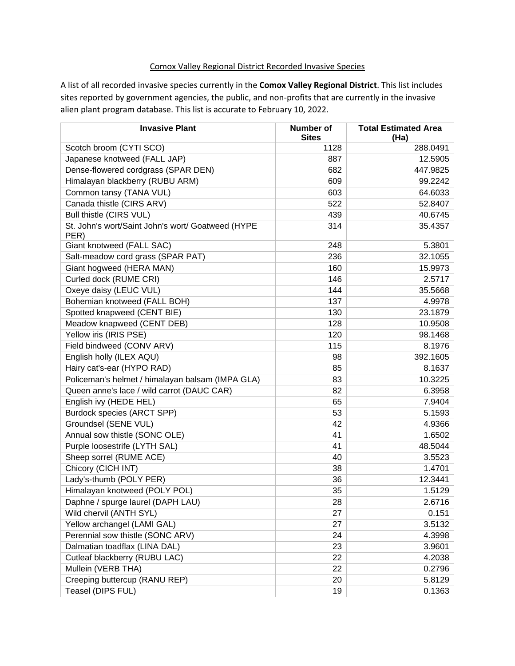## Comox Valley Regional District Recorded Invasive Species

A list of all recorded invasive species currently in the **Comox Valley Regional District**. This list includes sites reported by government agencies, the public, and non-profits that are currently in the invasive alien plant program database. This list is accurate to February 10, 2022.

| <b>Invasive Plant</b>                                     | Number of<br><b>Sites</b> | <b>Total Estimated Area</b><br>(Ha) |
|-----------------------------------------------------------|---------------------------|-------------------------------------|
| Scotch broom (CYTI SCO)                                   | 1128                      | 288.0491                            |
| Japanese knotweed (FALL JAP)                              | 887                       | 12.5905                             |
| Dense-flowered cordgrass (SPAR DEN)                       | 682                       | 447.9825                            |
| Himalayan blackberry (RUBU ARM)                           | 609                       | 99.2242                             |
| Common tansy (TANA VUL)                                   | 603                       | 64.6033                             |
| Canada thistle (CIRS ARV)                                 | 522                       | 52.8407                             |
| Bull thistle (CIRS VUL)                                   | 439                       | 40.6745                             |
| St. John's wort/Saint John's wort/ Goatweed (HYPE<br>PER) | 314                       | 35.4357                             |
| Giant knotweed (FALL SAC)                                 | 248                       | 5.3801                              |
| Salt-meadow cord grass (SPAR PAT)                         | 236                       | 32.1055                             |
| Giant hogweed (HERA MAN)                                  | 160                       | 15.9973                             |
| Curled dock (RUME CRI)                                    | 146                       | 2.5717                              |
| Oxeye daisy (LEUC VUL)                                    | 144                       | 35.5668                             |
| Bohemian knotweed (FALL BOH)                              | 137                       | 4.9978                              |
| Spotted knapweed (CENT BIE)                               | 130                       | 23.1879                             |
| Meadow knapweed (CENT DEB)                                | 128                       | 10.9508                             |
| Yellow iris (IRIS PSE)                                    | 120                       | 98.1468                             |
| Field bindweed (CONV ARV)                                 | 115                       | 8.1976                              |
| English holly (ILEX AQU)                                  | 98                        | 392.1605                            |
| Hairy cat's-ear (HYPO RAD)                                | 85                        | 8.1637                              |
| Policeman's helmet / himalayan balsam (IMPA GLA)          | 83                        | 10.3225                             |
| Queen anne's lace / wild carrot (DAUC CAR)                | 82                        | 6.3958                              |
| English ivy (HEDE HEL)                                    | 65                        | 7.9404                              |
| Burdock species (ARCT SPP)                                | 53                        | 5.1593                              |
| Groundsel (SENE VUL)                                      | 42                        | 4.9366                              |
| Annual sow thistle (SONC OLE)                             | 41                        | 1.6502                              |
| Purple loosestrife (LYTH SAL)                             | 41                        | 48.5044                             |
| Sheep sorrel (RUME ACE)                                   | 40                        | 3.5523                              |
| Chicory (CICH INT)                                        | 38                        | 1.4701                              |
| Lady's-thumb (POLY PER)                                   | 36                        | 12.3441                             |
| Himalayan knotweed (POLY POL)                             | 35                        | 1.5129                              |
| Daphne / spurge laurel (DAPH LAU)                         | 28                        | 2.6716                              |
| Wild chervil (ANTH SYL)                                   | 27                        | 0.151                               |
| Yellow archangel (LAMI GAL)                               | 27                        | 3.5132                              |
| Perennial sow thistle (SONC ARV)                          | 24                        | 4.3998                              |
| Dalmatian toadflax (LINA DAL)                             | 23                        | 3.9601                              |
| Cutleaf blackberry (RUBU LAC)                             | 22                        | 4.2038                              |
| Mullein (VERB THA)                                        | 22                        | 0.2796                              |
| Creeping buttercup (RANU REP)                             | 20                        | 5.8129                              |
| Teasel (DIPS FUL)                                         | 19                        | 0.1363                              |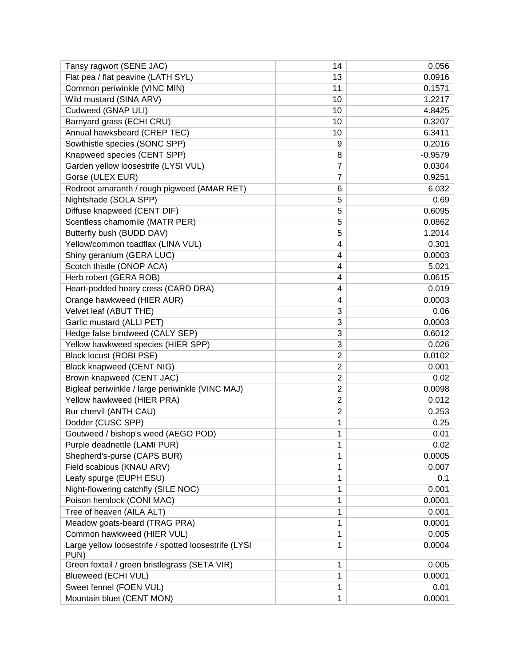| Tansy ragwort (SENE JAC)                                     | 14                      | 0.056     |
|--------------------------------------------------------------|-------------------------|-----------|
| Flat pea / flat peavine (LATH SYL)                           | 13                      | 0.0916    |
| Common periwinkle (VINC MIN)                                 | 11                      | 0.1571    |
| Wild mustard (SINA ARV)                                      | 10                      | 1.2217    |
| Cudweed (GNAP ULI)                                           | 10                      | 4.8425    |
| Barnyard grass (ECHI CRU)                                    | 10                      | 0.3207    |
| Annual hawksbeard (CREP TEC)                                 | 10                      | 6.3411    |
| Sowthistle species (SONC SPP)                                | 9                       | 0.2016    |
| Knapweed species (CENT SPP)                                  | 8                       | $-0.9579$ |
| Garden yellow loosestrife (LYSI VUL)                         | 7                       | 0.0304    |
| Gorse (ULEX EUR)                                             | 7                       | 0.9251    |
| Redroot amaranth / rough pigweed (AMAR RET)                  | 6                       | 6.032     |
| Nightshade (SOLA SPP)                                        | 5                       | 0.69      |
| Diffuse knapweed (CENT DIF)                                  | 5                       | 0.6095    |
| Scentless chamomile (MATR PER)                               | 5                       | 0.0862    |
| Butterfly bush (BUDD DAV)                                    | 5                       | 1.2014    |
| Yellow/common toadflax (LINA VUL)                            | 4                       | 0.301     |
| Shiny geranium (GERA LUC)                                    | 4                       | 0.0003    |
| Scotch thistle (ONOP ACA)                                    | 4                       | 5.021     |
| Herb robert (GERA ROB)                                       | 4                       | 0.0615    |
| Heart-podded hoary cress (CARD DRA)                          | 4                       | 0.019     |
| Orange hawkweed (HIER AUR)                                   | 4                       | 0.0003    |
| Velvet leaf (ABUT THE)                                       | 3                       | 0.06      |
| Garlic mustard (ALLI PET)                                    | 3                       | 0.0003    |
| Hedge false bindweed (CALY SEP)                              | 3                       | 0.6012    |
| Yellow hawkweed species (HIER SPP)                           | 3                       | 0.026     |
| Black locust (ROBI PSE)                                      | $\overline{2}$          | 0.0102    |
| Black knapweed (CENT NIG)                                    | $\overline{2}$          | 0.001     |
| Brown knapweed (CENT JAC)                                    | $\overline{2}$          | 0.02      |
| Bigleaf periwinkle / large periwinkle (VINC MAJ)             | $\overline{\mathbf{c}}$ | 0.0098    |
| Yellow hawkweed (HIER PRA)                                   | $\overline{2}$          | 0.012     |
| Bur chervil (ANTH CAU)                                       | $\overline{2}$          | 0.253     |
| Dodder (CUSC SPP)                                            | 1                       | 0.25      |
| Goutweed / bishop's weed (AEGO POD)                          | 1                       | 0.01      |
| Purple deadnettle (LAMI PUR)                                 | 1                       | 0.02      |
| Shepherd's-purse (CAPS BUR)                                  | 1                       | 0.0005    |
| Field scabious (KNAU ARV)                                    | 1                       | 0.007     |
| Leafy spurge (EUPH ESU)                                      | 1                       | 0.1       |
| Night-flowering catchfly (SILE NOC)                          | 1                       | 0.001     |
| Poison hemlock (CONI MAC)                                    | 1                       | 0.0001    |
| Tree of heaven (AILA ALT)                                    | 1                       | 0.001     |
| Meadow goats-beard (TRAG PRA)                                | 1                       | 0.0001    |
| Common hawkweed (HIER VUL)                                   | 1                       | 0.005     |
| Large yellow loosestrife / spotted loosestrife (LYSI<br>PUN) | 1                       | 0.0004    |
| Green foxtail / green bristlegrass (SETA VIR)                | 1                       | 0.005     |
| Blueweed (ECHI VUL)                                          | 1                       | 0.0001    |
| Sweet fennel (FOEN VUL)                                      | 1                       | 0.01      |
| Mountain bluet (CENT MON)                                    | 1                       | 0.0001    |